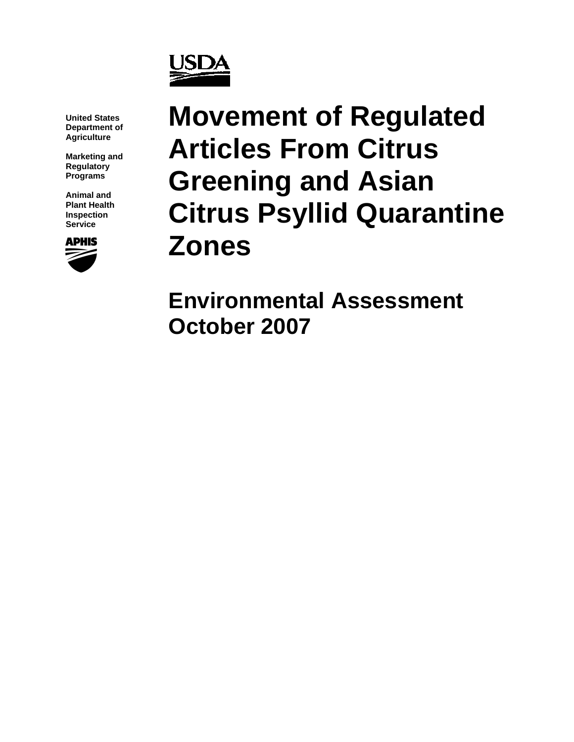

**United States Department of Agriculture** 

**Marketing and Regulatory Programs** 

**Animal and Plant Health Inspection Service** 



# **Movement of Regulated Articles From Citrus Greening and Asian Citrus Psyllid Quarantine Zones**

**Environmental Assessment October 2007**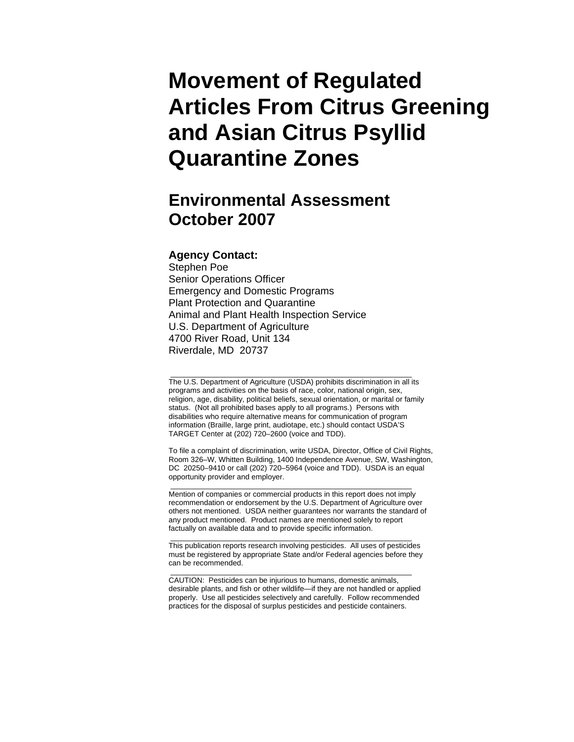# **Movement of Regulated Articles From Citrus Greening and Asian Citrus Psyllid Quarantine Zones**

## **Environmental Assessment October 2007**

#### **Agency Contact:**

Stephen Poe Senior Operations Officer Emergency and Domestic Programs Plant Protection and Quarantine Animal and Plant Health Inspection Service U.S. Department of Agriculture 4700 River Road, Unit 134 Riverdale, MD 20737

The U.S. Department of Agriculture (USDA) prohibits discrimination in all its programs and activities on the basis of race, color, national origin, sex, religion, age, disability, political beliefs, sexual orientation, or marital or family status. (Not all prohibited bases apply to all programs.) Persons with disabilities who require alternative means for communication of program information (Braille, large print, audiotape, etc.) should contact USDA'S TARGET Center at (202) 720–2600 (voice and TDD).

\_\_\_\_\_\_\_\_\_\_\_\_\_\_\_\_\_\_\_\_\_\_\_\_\_\_\_\_\_\_\_\_\_\_\_\_\_\_\_\_\_\_\_\_\_\_\_\_\_\_\_\_\_\_\_\_\_\_

To file a complaint of discrimination, write USDA, Director, Office of Civil Rights, Room 326–W, Whitten Building, 1400 Independence Avenue, SW, Washington, DC 20250–9410 or call (202) 720–5964 (voice and TDD). USDA is an equal opportunity provider and employer.

Mention of companies or commercial products in this report does not imply recommendation or endorsement by the U.S. Department of Agriculture over others not mentioned. USDA neither guarantees nor warrants the standard of any product mentioned. Product names are mentioned solely to report factually on available data and to provide specific information.

\_\_\_\_\_\_\_\_\_\_\_\_\_\_\_\_\_\_\_\_\_\_\_\_\_\_\_\_\_\_\_\_\_\_\_\_\_\_\_\_\_\_\_\_\_\_\_\_\_\_\_\_\_\_\_\_\_\_

\_\_\_\_\_\_\_\_\_\_\_\_\_\_\_\_\_\_\_\_\_\_\_\_\_\_\_\_\_\_\_\_\_\_\_\_\_\_\_\_\_\_\_\_\_\_\_\_\_\_\_\_\_\_\_\_\_\_ This publication reports research involving pesticides. All uses of pesticides must be registered by appropriate State and/or Federal agencies before they can be recommended.

CAUTION: Pesticides can be injurious to humans, domestic animals, desirable plants, and fish or other wildlife—if they are not handled or applied properly. Use all pesticides selectively and carefully. Follow recommended practices for the disposal of surplus pesticides and pesticide containers.

\_\_\_\_\_\_\_\_\_\_\_\_\_\_\_\_\_\_\_\_\_\_\_\_\_\_\_\_\_\_\_\_\_\_\_\_\_\_\_\_\_\_\_\_\_\_\_\_\_\_\_\_\_\_\_\_\_\_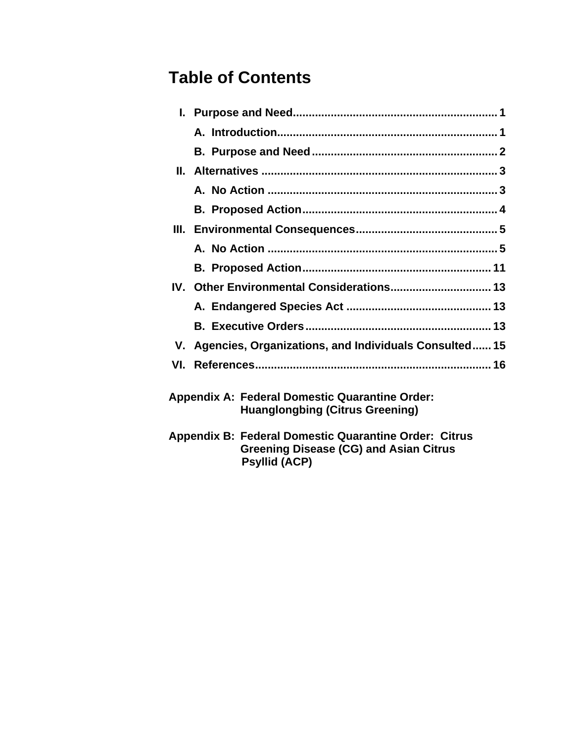# **Table of Contents**

 **Psyllid (ACP)** 

|    | IV. Other Environmental Considerations 13                                                       |
|----|-------------------------------------------------------------------------------------------------|
|    |                                                                                                 |
|    |                                                                                                 |
| V. | Agencies, Organizations, and Individuals Consulted 15                                           |
|    |                                                                                                 |
|    |                                                                                                 |
|    | <b>Appendix A: Federal Domestic Quarantine Order:</b><br><b>Huanglongbing (Citrus Greening)</b> |
|    | Appendix B: Federal Domestic Quarantine Order: Citrus                                           |

**Greening Disease (CG) and Asian Citrus**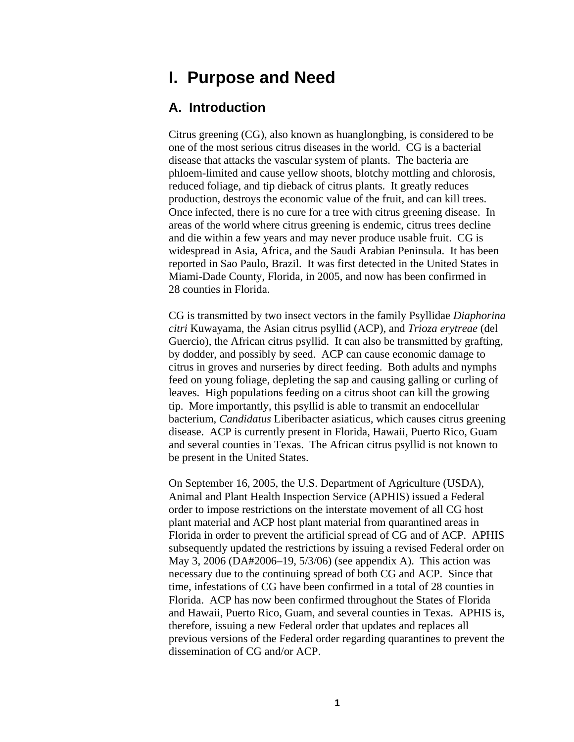# <span id="page-3-0"></span>**I. Purpose and Need**

#### **A. Introduction**

Citrus greening (CG), also known as huanglongbing, is considered to be one of the most serious citrus diseases in the world. CG is a bacterial disease that attacks the vascular system of plants. The bacteria are phloem-limited and cause yellow shoots, blotchy mottling and chlorosis, reduced foliage, and tip dieback of citrus plants. It greatly reduces production, destroys the economic value of the fruit, and can kill trees. Once infected, there is no cure for a tree with citrus greening disease. In areas of the world where citrus greening is endemic, citrus trees decline and die within a few years and may never produce usable fruit. CG is widespread in Asia, Africa, and the Saudi Arabian Peninsula. It has been reported in Sao Paulo, Brazil. It was first detected in the United States in Miami-Dade County, Florida, in 2005, and now has been confirmed in 28 counties in Florida.

CG is transmitted by two insect vectors in the family Psyllidae *Diaphorina citri* Kuwayama, the Asian citrus psyllid (ACP), and *Trioza erytreae* (del Guercio), the African citrus psyllid. It can also be transmitted by grafting, by dodder, and possibly by seed. ACP can cause economic damage to citrus in groves and nurseries by direct feeding. Both adults and nymphs feed on young foliage, depleting the sap and causing galling or curling of leaves. High populations feeding on a citrus shoot can kill the growing tip. More importantly, this psyllid is able to transmit an endocellular bacterium, *Candidatus* Liberibacter asiaticus*,* which causes citrus greening disease. ACP is currently present in Florida, Hawaii, Puerto Rico, Guam and several counties in Texas. The African citrus psyllid is not known to be present in the United States.

On September 16, 2005, the U.S. Department of Agriculture (USDA), Animal and Plant Health Inspection Service (APHIS) issued a Federal order to impose restrictions on the interstate movement of all CG host plant material and ACP host plant material from quarantined areas in Florida in order to prevent the artificial spread of CG and of ACP. APHIS subsequently updated the restrictions by issuing a revised Federal order on May 3, 2006 (DA#2006–19, 5/3/06) (see appendix A). This action was necessary due to the continuing spread of both CG and ACP. Since that time, infestations of CG have been confirmed in a total of 28 counties in Florida. ACP has now been confirmed throughout the States of Florida and Hawaii, Puerto Rico, Guam, and several counties in Texas. APHIS is, therefore, issuing a new Federal order that updates and replaces all previous versions of the Federal order regarding quarantines to prevent the dissemination of CG and/or ACP.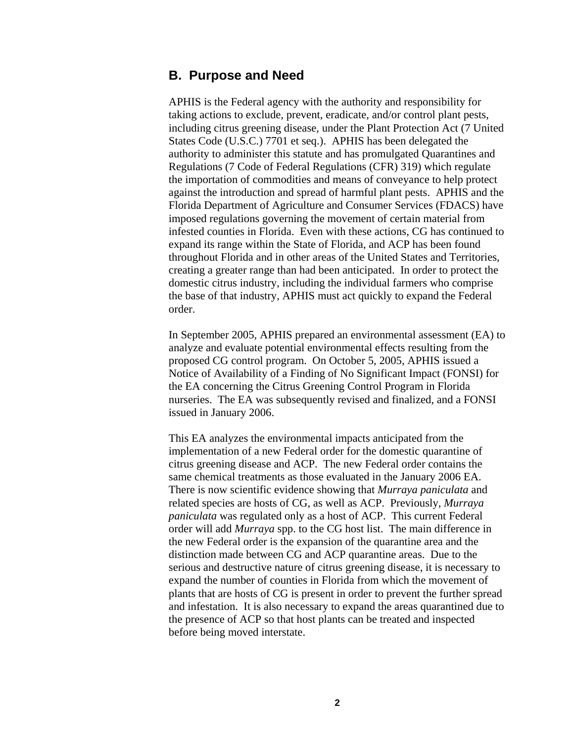#### **B. Purpose and Need**

APHIS is the Federal agency with the authority and responsibility for taking actions to exclude, prevent, eradicate, and/or control plant pests, including citrus greening disease, under the Plant Protection Act (7 United States Code (U.S.C.) 7701 et seq.). APHIS has been delegated the authority to administer this statute and has promulgated Quarantines and Regulations (7 Code of Federal Regulations (CFR) 319) which regulate the importation of commodities and means of conveyance to help protect against the introduction and spread of harmful plant pests. APHIS and the Florida Department of Agriculture and Consumer Services (FDACS) have imposed regulations governing the movement of certain material from infested counties in Florida. Even with these actions, CG has continued to expand its range within the State of Florida, and ACP has been found throughout Florida and in other areas of the United States and Territories, creating a greater range than had been anticipated. In order to protect the domestic citrus industry, including the individual farmers who comprise the base of that industry, APHIS must act quickly to expand the Federal order.

In September 2005, APHIS prepared an environmental assessment (EA) to analyze and evaluate potential environmental effects resulting from the proposed CG control program. On October 5, 2005, APHIS issued a Notice of Availability of a Finding of No Significant Impact (FONSI) for the EA concerning the Citrus Greening Control Program in Florida nurseries. The EA was subsequently revised and finalized, and a FONSI issued in January 2006.

This EA analyzes the environmental impacts anticipated from the implementation of a new Federal order for the domestic quarantine of citrus greening disease and ACP. The new Federal order contains the same chemical treatments as those evaluated in the January 2006 EA. There is now scientific evidence showing that *Murraya paniculata* and related species are hosts of CG, as well as ACP. Previously, *Murraya paniculata* was regulated only as a host of ACP. This current Federal order will add *Murraya* spp. to the CG host list. The main difference in the new Federal order is the expansion of the quarantine area and the distinction made between CG and ACP quarantine areas. Due to the serious and destructive nature of citrus greening disease, it is necessary to expand the number of counties in Florida from which the movement of plants that are hosts of CG is present in order to prevent the further spread and infestation. It is also necessary to expand the areas quarantined due to the presence of ACP so that host plants can be treated and inspected before being moved interstate.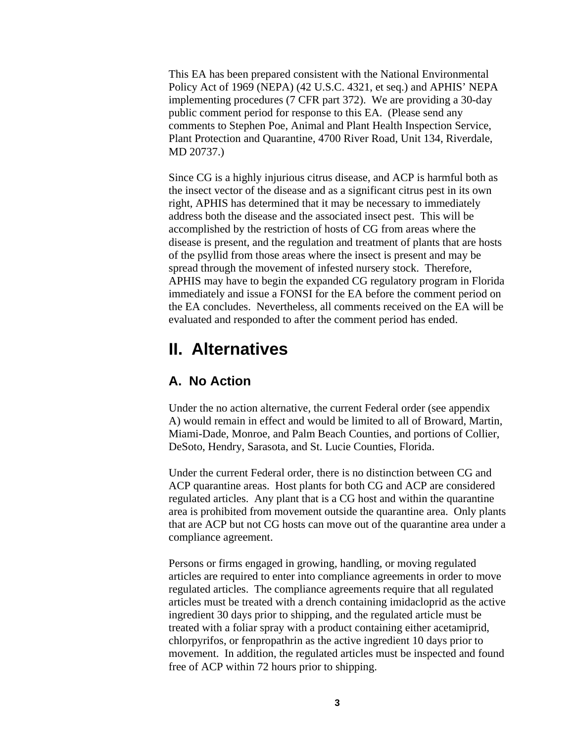<span id="page-5-0"></span>This EA has been prepared consistent with the National Environmental Policy Act of 1969 (NEPA) (42 U.S.C. 4321, et seq.) and APHIS' NEPA implementing procedures (7 CFR part 372). We are providing a 30-day public comment period for response to this EA. (Please send any comments to Stephen Poe, Animal and Plant Health Inspection Service, Plant Protection and Quarantine, 4700 River Road, Unit 134, Riverdale, MD 20737.)

Since CG is a highly injurious citrus disease, and ACP is harmful both as the insect vector of the disease and as a significant citrus pest in its own right, APHIS has determined that it may be necessary to immediately address both the disease and the associated insect pest. This will be accomplished by the restriction of hosts of CG from areas where the disease is present, and the regulation and treatment of plants that are hosts of the psyllid from those areas where the insect is present and may be spread through the movement of infested nursery stock. Therefore, APHIS may have to begin the expanded CG regulatory program in Florida immediately and issue a FONSI for the EA before the comment period on the EA concludes. Nevertheless, all comments received on the EA will be evaluated and responded to after the comment period has ended.

### **II. Alternatives**

#### **A. No Action**

Under the no action alternative, the current Federal order (see appendix A) would remain in effect and would be limited to all of Broward, Martin, Miami-Dade, Monroe, and Palm Beach Counties, and portions of Collier, DeSoto, Hendry, Sarasota, and St. Lucie Counties, Florida.

Under the current Federal order, there is no distinction between CG and ACP quarantine areas. Host plants for both CG and ACP are considered regulated articles. Any plant that is a CG host and within the quarantine area is prohibited from movement outside the quarantine area. Only plants that are ACP but not CG hosts can move out of the quarantine area under a compliance agreement.

Persons or firms engaged in growing, handling, or moving regulated articles are required to enter into compliance agreements in order to move regulated articles. The compliance agreements require that all regulated articles must be treated with a drench containing imidacloprid as the active ingredient 30 days prior to shipping, and the regulated article must be treated with a foliar spray with a product containing either acetamiprid, chlorpyrifos, or fenpropathrin as the active ingredient 10 days prior to movement. In addition, the regulated articles must be inspected and found free of ACP within 72 hours prior to shipping.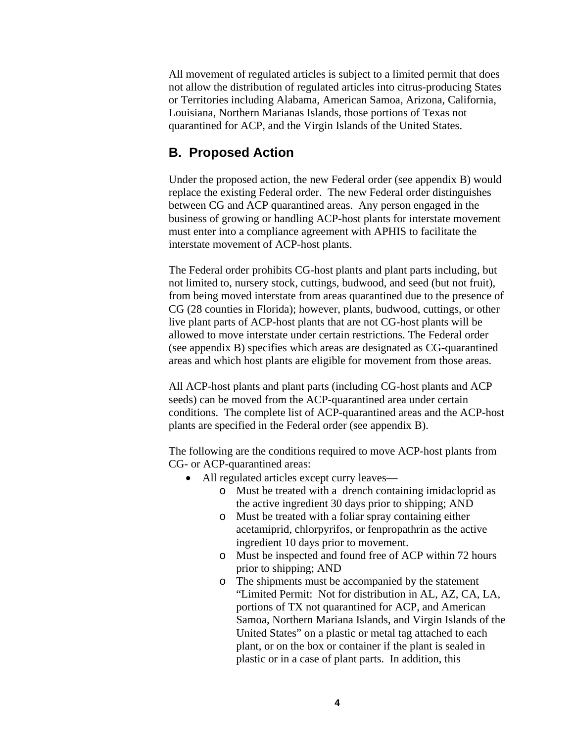<span id="page-6-0"></span>All movement of regulated articles is subject to a limited permit that does not allow the distribution of regulated articles into citrus-producing States or Territories including Alabama, American Samoa, Arizona, California, Louisiana, Northern Marianas Islands, those portions of Texas not quarantined for ACP, and the Virgin Islands of the United States.

#### **B. Proposed Action**

Under the proposed action, the new Federal order (see appendix B) would replace the existing Federal order. The new Federal order distinguishes between CG and ACP quarantined areas. Any person engaged in the business of growing or handling ACP-host plants for interstate movement must enter into a compliance agreement with APHIS to facilitate the interstate movement of ACP-host plants.

The Federal order prohibits CG-host plants and plant parts including, but not limited to, nursery stock, cuttings, budwood, and seed (but not fruit), from being moved interstate from areas quarantined due to the presence of CG (28 counties in Florida); however, plants, budwood, cuttings, or other live plant parts of ACP-host plants that are not CG-host plants will be allowed to move interstate under certain restrictions. The Federal order (see appendix B) specifies which areas are designated as CG-quarantined areas and which host plants are eligible for movement from those areas.

All ACP-host plants and plant parts (including CG-host plants and ACP seeds) can be moved from the ACP-quarantined area under certain conditions. The complete list of ACP-quarantined areas and the ACP-host plants are specified in the Federal order (see appendix B).

The following are the conditions required to move ACP-host plants from CG- or ACP-quarantined areas:

- All regulated articles except curry leaves
	- o Must be treated with a drench containing imidacloprid as the active ingredient 30 days prior to shipping; AND
	- o Must be treated with a foliar spray containing either acetamiprid, chlorpyrifos, or fenpropathrin as the active ingredient 10 days prior to movement.
	- o Must be inspected and found free of ACP within 72 hours prior to shipping; AND
	- o The shipments must be accompanied by the statement "Limited Permit: Not for distribution in AL, AZ, CA, LA, portions of TX not quarantined for ACP, and American Samoa, Northern Mariana Islands, and Virgin Islands of the United States" on a plastic or metal tag attached to each plant, or on the box or container if the plant is sealed in plastic or in a case of plant parts. In addition, this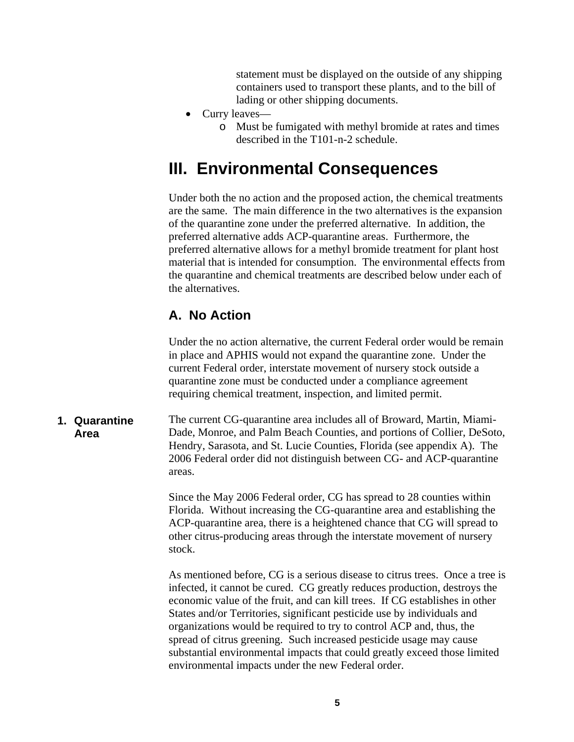statement must be displayed on the outside of any shipping containers used to transport these plants, and to the bill of lading or other shipping documents.

- <span id="page-7-0"></span>• Curry leaves
	- o Must be fumigated with methyl bromide at rates and times described in the T101-n-2 schedule.

# **III. Environmental Consequences**

Under both the no action and the proposed action, the chemical treatments are the same. The main difference in the two alternatives is the expansion of the quarantine zone under the preferred alternative. In addition, the preferred alternative adds ACP-quarantine areas. Furthermore, the preferred alternative allows for a methyl bromide treatment for plant host material that is intended for consumption. The environmental effects from the quarantine and chemical treatments are described below under each of the alternatives.

#### **A. No Action**

Under the no action alternative, the current Federal order would be remain in place and APHIS would not expand the quarantine zone. Under the current Federal order, interstate movement of nursery stock outside a quarantine zone must be conducted under a compliance agreement requiring chemical treatment, inspection, and limited permit.

The current CG-quarantine area includes all of Broward, Martin, Miami-Dade, Monroe, and Palm Beach Counties, and portions of Collier, DeSoto, Hendry, Sarasota, and St. Lucie Counties, Florida (see appendix A). The 2006 Federal order did not distinguish between CG- and ACP-quarantine areas. **1. Quarantine Area** 

> Since the May 2006 Federal order, CG has spread to 28 counties within Florida. Without increasing the CG-quarantine area and establishing the ACP-quarantine area, there is a heightened chance that CG will spread to other citrus-producing areas through the interstate movement of nursery stock.

As mentioned before, CG is a serious disease to citrus trees. Once a tree is infected, it cannot be cured. CG greatly reduces production, destroys the economic value of the fruit, and can kill trees. If CG establishes in other States and/or Territories, significant pesticide use by individuals and organizations would be required to try to control ACP and, thus, the spread of citrus greening. Such increased pesticide usage may cause substantial environmental impacts that could greatly exceed those limited environmental impacts under the new Federal order.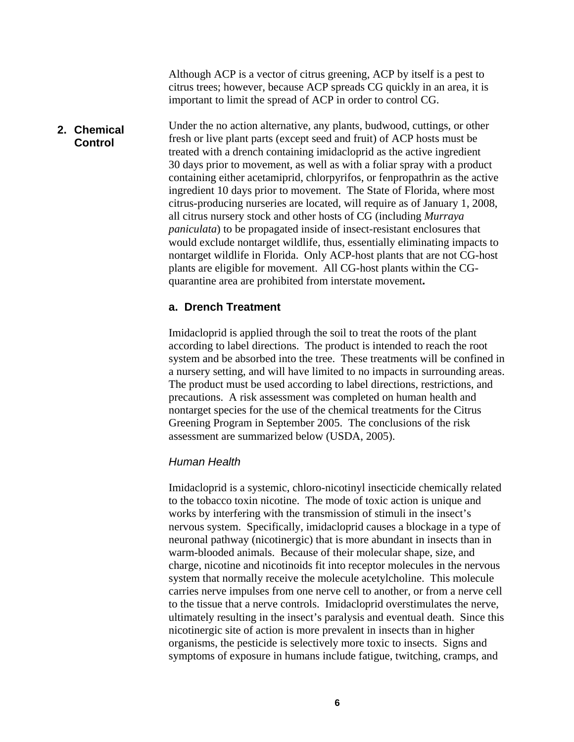Although ACP is a vector of citrus greening, ACP by itself is a pest to citrus trees; however, because ACP spreads CG quickly in an area, it is important to limit the spread of ACP in order to control CG.

#### Under the no action alternative, any plants, budwood, cuttings, or other fresh or live plant parts (except seed and fruit) of ACP hosts must be treated with a drench containing imidacloprid as the active ingredient 30 days prior to movement, as well as with a foliar spray with a product containing either acetamiprid, chlorpyrifos, or fenpropathrin as the active ingredient 10 days prior to movement. The State of Florida, where most citrus-producing nurseries are located, will require as of January 1, 2008, all citrus nursery stock and other hosts of CG (including *Murraya paniculata*) to be propagated inside of insect-resistant enclosures that would exclude nontarget wildlife, thus, essentially eliminating impacts to nontarget wildlife in Florida. Only ACP-host plants that are not CG-host plants are eligible for movement. All CG-host plants within the CGquarantine area are prohibited from interstate movement**. 2. Chemical Control**

#### **a. Drench Treatment**

Imidacloprid is applied through the soil to treat the roots of the plant according to label directions. The product is intended to reach the root system and be absorbed into the tree. These treatments will be confined in a nursery setting, and will have limited to no impacts in surrounding areas. The product must be used according to label directions, restrictions, and precautions. A risk assessment was completed on human health and nontarget species for the use of the chemical treatments for the Citrus Greening Program in September 2005. The conclusions of the risk assessment are summarized below (USDA, 2005).

#### *Human Health*

Imidacloprid is a systemic, chloro-nicotinyl insecticide chemically related to the tobacco toxin nicotine. The mode of toxic action is unique and works by interfering with the transmission of stimuli in the insect's nervous system. Specifically, imidacloprid causes a blockage in a type of neuronal pathway (nicotinergic) that is more abundant in insects than in warm-blooded animals. Because of their molecular shape, size, and charge, nicotine and nicotinoids fit into receptor molecules in the nervous system that normally receive the molecule acetylcholine. This molecule carries nerve impulses from one nerve cell to another, or from a nerve cell to the tissue that a nerve controls. Imidacloprid overstimulates the nerve, ultimately resulting in the insect's paralysis and eventual death. Since this nicotinergic site of action is more prevalent in insects than in higher organisms, the pesticide is selectively more toxic to insects. Signs and symptoms of exposure in humans include fatigue, twitching, cramps, and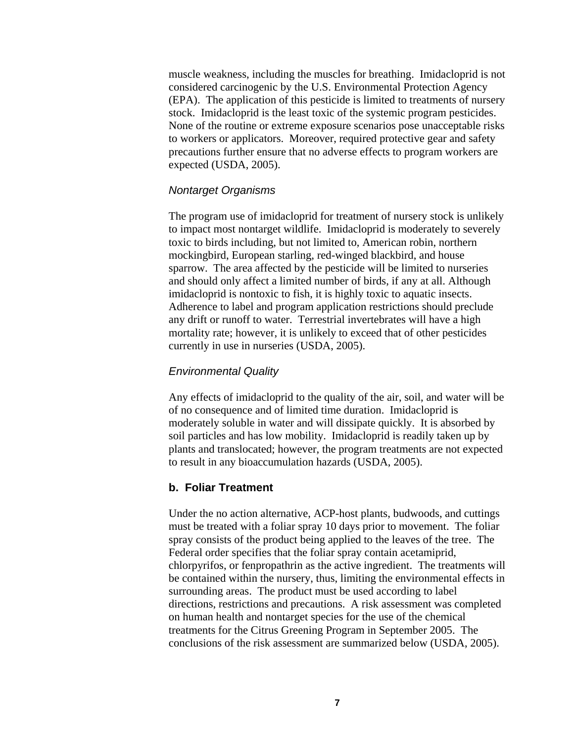muscle weakness, including the muscles for breathing. Imidacloprid is not considered carcinogenic by the U.S. Environmental Protection Agency (EPA). The application of this pesticide is limited to treatments of nursery stock. Imidacloprid is the least toxic of the systemic program pesticides. None of the routine or extreme exposure scenarios pose unacceptable risks to workers or applicators. Moreover, required protective gear and safety precautions further ensure that no adverse effects to program workers are expected (USDA, 2005).

#### *Nontarget Organisms*

The program use of imidacloprid for treatment of nursery stock is unlikely to impact most nontarget wildlife. Imidacloprid is moderately to severely toxic to birds including, but not limited to, American robin, northern mockingbird, European starling, red-winged blackbird, and house sparrow. The area affected by the pesticide will be limited to nurseries and should only affect a limited number of birds, if any at all. Although imidacloprid is nontoxic to fish, it is highly toxic to aquatic insects. Adherence to label and program application restrictions should preclude any drift or runoff to water. Terrestrial invertebrates will have a high mortality rate; however, it is unlikely to exceed that of other pesticides currently in use in nurseries (USDA, 2005).

#### *Environmental Quality*

Any effects of imidacloprid to the quality of the air, soil, and water will be of no consequence and of limited time duration. Imidacloprid is moderately soluble in water and will dissipate quickly. It is absorbed by soil particles and has low mobility. Imidacloprid is readily taken up by plants and translocated; however, the program treatments are not expected to result in any bioaccumulation hazards (USDA, 2005).

#### **b. Foliar Treatment**

Under the no action alternative, ACP-host plants, budwoods, and cuttings must be treated with a foliar spray 10 days prior to movement. The foliar spray consists of the product being applied to the leaves of the tree. The Federal order specifies that the foliar spray contain acetamiprid, chlorpyrifos, or fenpropathrin as the active ingredient. The treatments will be contained within the nursery, thus, limiting the environmental effects in surrounding areas. The product must be used according to label directions, restrictions and precautions. A risk assessment was completed on human health and nontarget species for the use of the chemical treatments for the Citrus Greening Program in September 2005. The conclusions of the risk assessment are summarized below (USDA, 2005).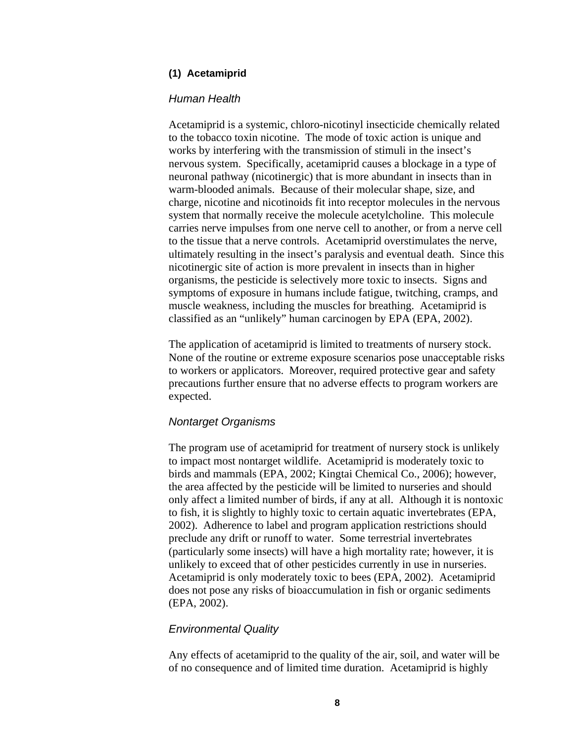#### **(1) Acetamiprid**

#### *Human Health*

Acetamiprid is a systemic, chloro-nicotinyl insecticide chemically related to the tobacco toxin nicotine. The mode of toxic action is unique and works by interfering with the transmission of stimuli in the insect's nervous system. Specifically, acetamiprid causes a blockage in a type of neuronal pathway (nicotinergic) that is more abundant in insects than in warm-blooded animals. Because of their molecular shape, size, and charge, nicotine and nicotinoids fit into receptor molecules in the nervous system that normally receive the molecule acetylcholine. This molecule carries nerve impulses from one nerve cell to another, or from a nerve cell to the tissue that a nerve controls. Acetamiprid overstimulates the nerve, ultimately resulting in the insect's paralysis and eventual death. Since this nicotinergic site of action is more prevalent in insects than in higher organisms, the pesticide is selectively more toxic to insects. Signs and symptoms of exposure in humans include fatigue, twitching, cramps, and muscle weakness, including the muscles for breathing. Acetamiprid is classified as an "unlikely" human carcinogen by EPA (EPA, 2002).

The application of acetamiprid is limited to treatments of nursery stock. None of the routine or extreme exposure scenarios pose unacceptable risks to workers or applicators. Moreover, required protective gear and safety precautions further ensure that no adverse effects to program workers are expected.

#### *Nontarget Organisms*

The program use of acetamiprid for treatment of nursery stock is unlikely to impact most nontarget wildlife. Acetamiprid is moderately toxic to birds and mammals (EPA, 2002; Kingtai Chemical Co., 2006); however, the area affected by the pesticide will be limited to nurseries and should only affect a limited number of birds, if any at all. Although it is nontoxic to fish, it is slightly to highly toxic to certain aquatic invertebrates (EPA, 2002). Adherence to label and program application restrictions should preclude any drift or runoff to water. Some terrestrial invertebrates (particularly some insects) will have a high mortality rate; however, it is unlikely to exceed that of other pesticides currently in use in nurseries. Acetamiprid is only moderately toxic to bees (EPA, 2002). Acetamiprid does not pose any risks of bioaccumulation in fish or organic sediments (EPA, 2002).

#### *Environmental Quality*

Any effects of acetamiprid to the quality of the air, soil, and water will be of no consequence and of limited time duration. Acetamiprid is highly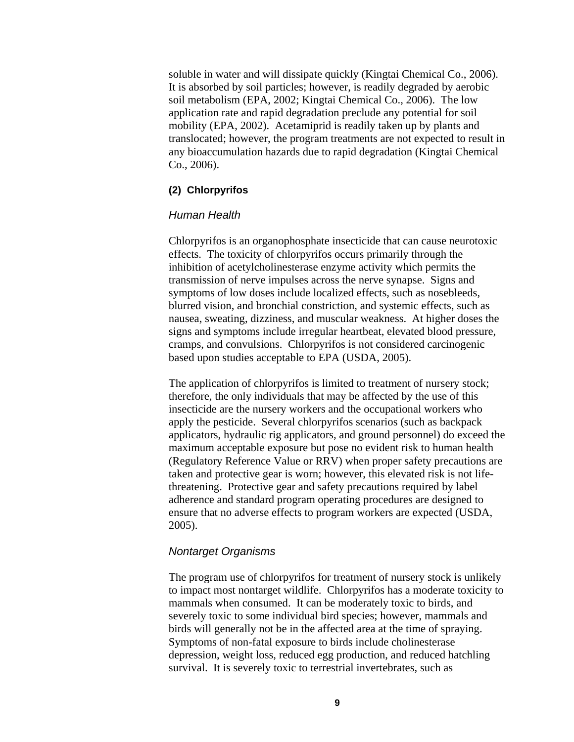soluble in water and will dissipate quickly (Kingtai Chemical Co., 2006). It is absorbed by soil particles; however, is readily degraded by aerobic soil metabolism (EPA, 2002; Kingtai Chemical Co., 2006). The low application rate and rapid degradation preclude any potential for soil mobility (EPA, 2002). Acetamiprid is readily taken up by plants and translocated; however, the program treatments are not expected to result in any bioaccumulation hazards due to rapid degradation (Kingtai Chemical Co., 2006).

#### **(2) Chlorpyrifos**

#### *Human Health*

Chlorpyrifos is an organophosphate insecticide that can cause neurotoxic effects. The toxicity of chlorpyrifos occurs primarily through the inhibition of acetylcholinesterase enzyme activity which permits the transmission of nerve impulses across the nerve synapse. Signs and symptoms of low doses include localized effects, such as nosebleeds, blurred vision, and bronchial constriction, and systemic effects, such as nausea, sweating, dizziness, and muscular weakness. At higher doses the signs and symptoms include irregular heartbeat, elevated blood pressure, cramps, and convulsions. Chlorpyrifos is not considered carcinogenic based upon studies acceptable to EPA (USDA, 2005).

The application of chlorpyrifos is limited to treatment of nursery stock; therefore, the only individuals that may be affected by the use of this insecticide are the nursery workers and the occupational workers who apply the pesticide. Several chlorpyrifos scenarios (such as backpack applicators, hydraulic rig applicators, and ground personnel) do exceed the maximum acceptable exposure but pose no evident risk to human health (Regulatory Reference Value or RRV) when proper safety precautions are taken and protective gear is worn; however, this elevated risk is not lifethreatening. Protective gear and safety precautions required by label adherence and standard program operating procedures are designed to ensure that no adverse effects to program workers are expected (USDA, 2005).

#### *Nontarget Organisms*

The program use of chlorpyrifos for treatment of nursery stock is unlikely to impact most nontarget wildlife. Chlorpyrifos has a moderate toxicity to mammals when consumed. It can be moderately toxic to birds, and severely toxic to some individual bird species; however, mammals and birds will generally not be in the affected area at the time of spraying. Symptoms of non-fatal exposure to birds include cholinesterase depression, weight loss, reduced egg production, and reduced hatchling survival. It is severely toxic to terrestrial invertebrates, such as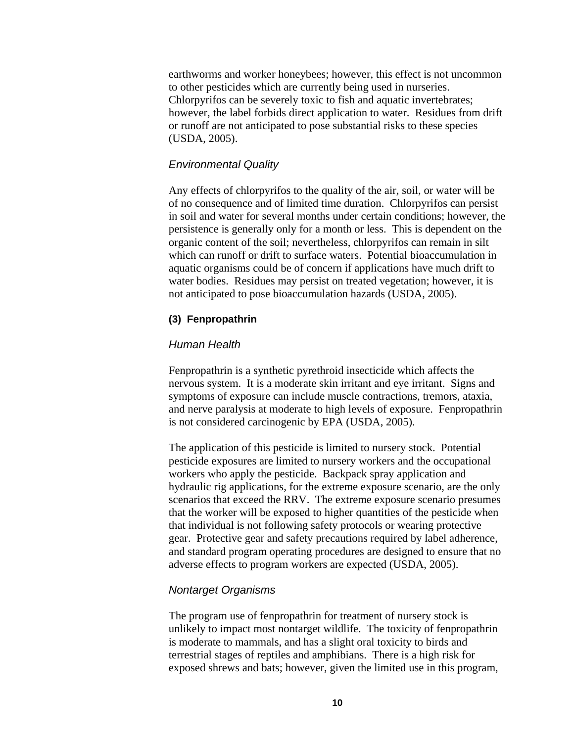earthworms and worker honeybees; however, this effect is not uncommon to other pesticides which are currently being used in nurseries. Chlorpyrifos can be severely toxic to fish and aquatic invertebrates; however, the label forbids direct application to water. Residues from drift or runoff are not anticipated to pose substantial risks to these species (USDA, 2005).

#### *Environmental Quality*

Any effects of chlorpyrifos to the quality of the air, soil, or water will be of no consequence and of limited time duration. Chlorpyrifos can persist in soil and water for several months under certain conditions; however, the persistence is generally only for a month or less. This is dependent on the organic content of the soil; nevertheless, chlorpyrifos can remain in silt which can runoff or drift to surface waters. Potential bioaccumulation in aquatic organisms could be of concern if applications have much drift to water bodies. Residues may persist on treated vegetation; however, it is not anticipated to pose bioaccumulation hazards (USDA, 2005).

#### **(3) Fenpropathrin**

#### *Human Health*

Fenpropathrin is a synthetic pyrethroid insecticide which affects the nervous system. It is a moderate skin irritant and eye irritant. Signs and symptoms of exposure can include muscle contractions, tremors, ataxia, and nerve paralysis at moderate to high levels of exposure. Fenpropathrin is not considered carcinogenic by EPA (USDA, 2005).

The application of this pesticide is limited to nursery stock. Potential pesticide exposures are limited to nursery workers and the occupational workers who apply the pesticide. Backpack spray application and hydraulic rig applications, for the extreme exposure scenario, are the only scenarios that exceed the RRV. The extreme exposure scenario presumes that the worker will be exposed to higher quantities of the pesticide when that individual is not following safety protocols or wearing protective gear. Protective gear and safety precautions required by label adherence, and standard program operating procedures are designed to ensure that no adverse effects to program workers are expected (USDA, 2005).

#### *Nontarget Organisms*

The program use of fenpropathrin for treatment of nursery stock is unlikely to impact most nontarget wildlife. The toxicity of fenpropathrin is moderate to mammals, and has a slight oral toxicity to birds and terrestrial stages of reptiles and amphibians. There is a high risk for exposed shrews and bats; however, given the limited use in this program,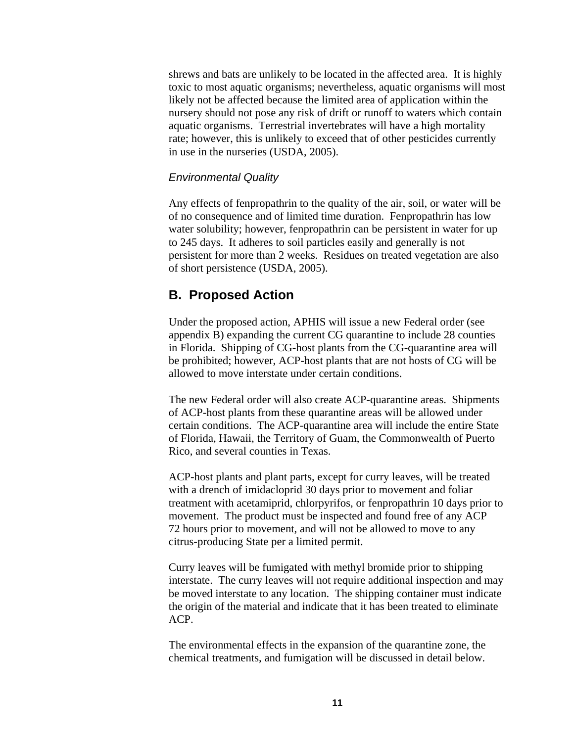<span id="page-13-0"></span>shrews and bats are unlikely to be located in the affected area. It is highly toxic to most aquatic organisms; nevertheless, aquatic organisms will most likely not be affected because the limited area of application within the nursery should not pose any risk of drift or runoff to waters which contain aquatic organisms. Terrestrial invertebrates will have a high mortality rate; however, this is unlikely to exceed that of other pesticides currently in use in the nurseries (USDA, 2005).

#### *Environmental Quality*

Any effects of fenpropathrin to the quality of the air, soil, or water will be of no consequence and of limited time duration. Fenpropathrin has low water solubility; however, fenpropathrin can be persistent in water for up to 245 days. It adheres to soil particles easily and generally is not persistent for more than 2 weeks. Residues on treated vegetation are also of short persistence (USDA, 2005).

#### **B. Proposed Action**

Under the proposed action, APHIS will issue a new Federal order (see appendix B) expanding the current CG quarantine to include 28 counties in Florida. Shipping of CG-host plants from the CG-quarantine area will be prohibited; however, ACP-host plants that are not hosts of CG will be allowed to move interstate under certain conditions.

The new Federal order will also create ACP-quarantine areas. Shipments of ACP-host plants from these quarantine areas will be allowed under certain conditions. The ACP-quarantine area will include the entire State of Florida, Hawaii, the Territory of Guam, the Commonwealth of Puerto Rico, and several counties in Texas.

ACP-host plants and plant parts, except for curry leaves, will be treated with a drench of imidacloprid 30 days prior to movement and foliar treatment with acetamiprid, chlorpyrifos, or fenpropathrin 10 days prior to movement. The product must be inspected and found free of any ACP 72 hours prior to movement, and will not be allowed to move to any citrus-producing State per a limited permit.

Curry leaves will be fumigated with methyl bromide prior to shipping interstate. The curry leaves will not require additional inspection and may be moved interstate to any location. The shipping container must indicate the origin of the material and indicate that it has been treated to eliminate ACP.

The environmental effects in the expansion of the quarantine zone, the chemical treatments, and fumigation will be discussed in detail below.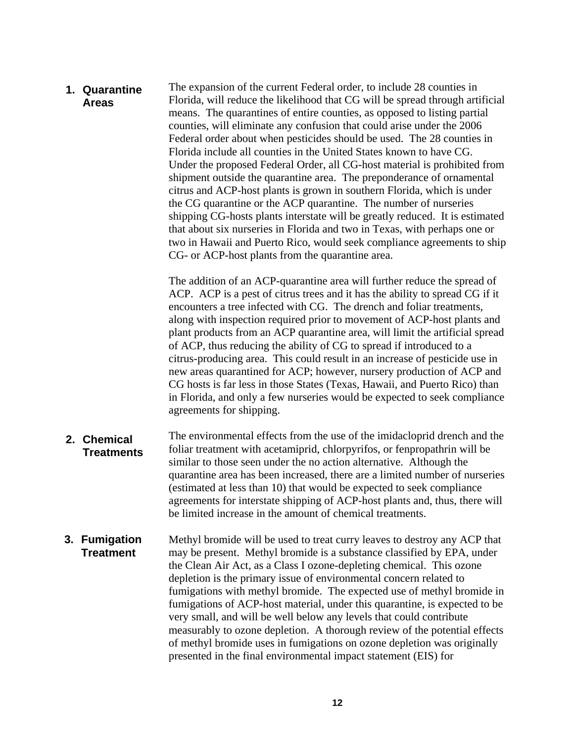The expansion of the current Federal order, to include 28 counties in Florida, will reduce the likelihood that CG will be spread through artificial means. The quarantines of entire counties, as opposed to listing partial counties, will eliminate any confusion that could arise under the 2006 Federal order about when pesticides should be used. The 28 counties in Florida include all counties in the United States known to have CG. Under the proposed Federal Order, all CG-host material is prohibited from shipment outside the quarantine area. The preponderance of ornamental citrus and ACP-host plants is grown in southern Florida, which is under the CG quarantine or the ACP quarantine. The number of nurseries shipping CG-hosts plants interstate will be greatly reduced. It is estimated that about six nurseries in Florida and two in Texas, with perhaps one or two in Hawaii and Puerto Rico, would seek compliance agreements to ship CG- or ACP-host plants from the quarantine area. **1. Quarantine Areas** 

> The addition of an ACP-quarantine area will further reduce the spread of ACP. ACP is a pest of citrus trees and it has the ability to spread CG if it encounters a tree infected with CG. The drench and foliar treatments, along with inspection required prior to movement of ACP-host plants and plant products from an ACP quarantine area, will limit the artificial spread of ACP, thus reducing the ability of CG to spread if introduced to a citrus-producing area. This could result in an increase of pesticide use in new areas quarantined for ACP; however, nursery production of ACP and CG hosts is far less in those States (Texas, Hawaii, and Puerto Rico) than in Florida, and only a few nurseries would be expected to seek compliance agreements for shipping.

- The environmental effects from the use of the imidacloprid drench and the foliar treatment with acetamiprid, chlorpyrifos, or fenpropathrin will be similar to those seen under the no action alternative. Although the quarantine area has been increased, there are a limited number of nurseries (estimated at less than 10) that would be expected to seek compliance agreements for interstate shipping of ACP-host plants and, thus, there will be limited increase in the amount of chemical treatments. **2. Chemical Treatments**
- Methyl bromide will be used to treat curry leaves to destroy any ACP that may be present. Methyl bromide is a substance classified by EPA, under the Clean Air Act, as a Class I ozone-depleting chemical. This ozone depletion is the primary issue of environmental concern related to fumigations with methyl bromide. The expected use of methyl bromide in fumigations of ACP-host material, under this quarantine, is expected to be very small, and will be well below any levels that could contribute measurably to ozone depletion. A thorough review of the potential effects of methyl bromide uses in fumigations on ozone depletion was originally presented in the final environmental impact statement (EIS) for **3. Fumigation Treatment**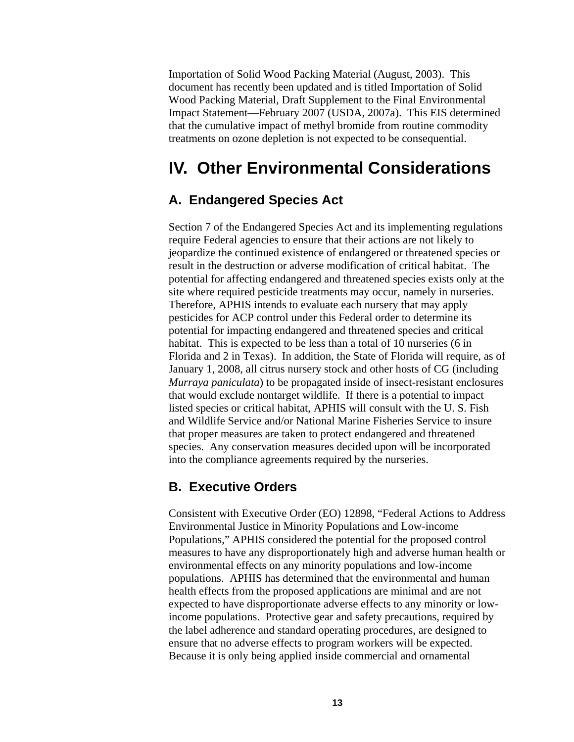<span id="page-15-0"></span>Importation of Solid Wood Packing Material (August, 2003). This document has recently been updated and is titled Importation of Solid Wood Packing Material, Draft Supplement to the Final Environmental Impact Statement—February 2007 (USDA, 2007a). This EIS determined that the cumulative impact of methyl bromide from routine commodity treatments on ozone depletion is not expected to be consequential.

# **IV. Other Environmental Considerations**

#### **A. Endangered Species Act**

Section 7 of the Endangered Species Act and its implementing regulations require Federal agencies to ensure that their actions are not likely to jeopardize the continued existence of endangered or threatened species or result in the destruction or adverse modification of critical habitat. The potential for affecting endangered and threatened species exists only at the site where required pesticide treatments may occur, namely in nurseries. Therefore, APHIS intends to evaluate each nursery that may apply pesticides for ACP control under this Federal order to determine its potential for impacting endangered and threatened species and critical habitat. This is expected to be less than a total of 10 nurseries (6 in Florida and 2 in Texas). In addition, the State of Florida will require, as of January 1, 2008, all citrus nursery stock and other hosts of CG (including *Murraya paniculata*) to be propagated inside of insect-resistant enclosures that would exclude nontarget wildlife. If there is a potential to impact listed species or critical habitat, APHIS will consult with the U. S. Fish and Wildlife Service and/or National Marine Fisheries Service to insure that proper measures are taken to protect endangered and threatened species. Any conservation measures decided upon will be incorporated into the compliance agreements required by the nurseries.

#### **B. Executive Orders**

Consistent with Executive Order (EO) 12898, "Federal Actions to Address Environmental Justice in Minority Populations and Low-income Populations," APHIS considered the potential for the proposed control measures to have any disproportionately high and adverse human health or environmental effects on any minority populations and low-income populations. APHIS has determined that the environmental and human health effects from the proposed applications are minimal and are not expected to have disproportionate adverse effects to any minority or lowincome populations. Protective gear and safety precautions, required by the label adherence and standard operating procedures, are designed to ensure that no adverse effects to program workers will be expected. Because it is only being applied inside commercial and ornamental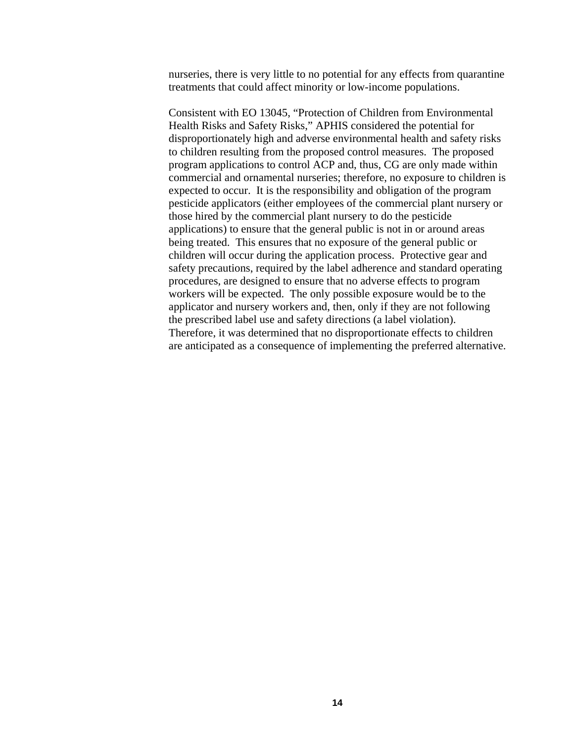nurseries, there is very little to no potential for any effects from quarantine treatments that could affect minority or low-income populations.

Consistent with EO 13045, "Protection of Children from Environmental Health Risks and Safety Risks," APHIS considered the potential for disproportionately high and adverse environmental health and safety risks to children resulting from the proposed control measures. The proposed program applications to control ACP and, thus, CG are only made within commercial and ornamental nurseries; therefore, no exposure to children is expected to occur. It is the responsibility and obligation of the program pesticide applicators (either employees of the commercial plant nursery or those hired by the commercial plant nursery to do the pesticide applications) to ensure that the general public is not in or around areas being treated. This ensures that no exposure of the general public or children will occur during the application process. Protective gear and safety precautions, required by the label adherence and standard operating procedures, are designed to ensure that no adverse effects to program workers will be expected. The only possible exposure would be to the applicator and nursery workers and, then, only if they are not following the prescribed label use and safety directions (a label violation). Therefore, it was determined that no disproportionate effects to children are anticipated as a consequence of implementing the preferred alternative.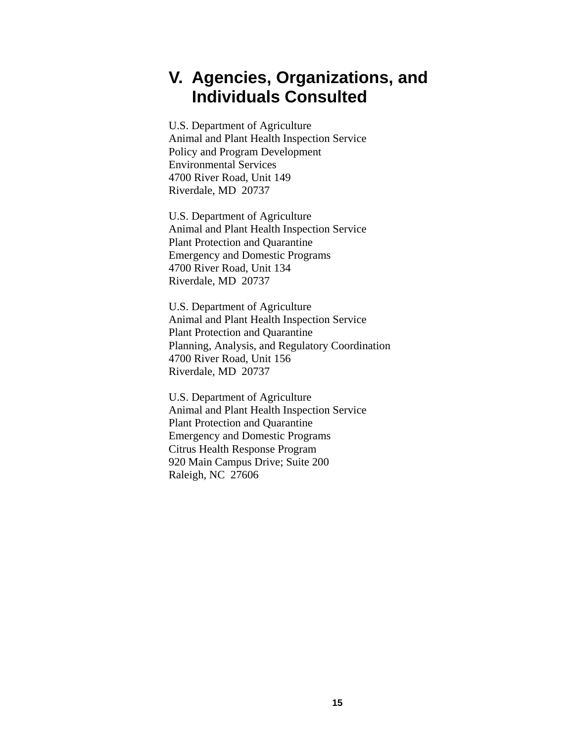# <span id="page-17-0"></span>**V. Agencies, Organizations, and Individuals Consulted**

U.S. Department of Agriculture Animal and Plant Health Inspection Service Policy and Program Development Environmental Services 4700 River Road, Unit 149 Riverdale, MD 20737

U.S. Department of Agriculture Animal and Plant Health Inspection Service Plant Protection and Quarantine Emergency and Domestic Programs 4700 River Road, Unit 134 Riverdale, MD 20737

U.S. Department of Agriculture Animal and Plant Health Inspection Service Plant Protection and Quarantine Planning, Analysis, and Regulatory Coordination 4700 River Road, Unit 156 Riverdale, MD 20737

U.S. Department of Agriculture Animal and Plant Health Inspection Service Plant Protection and Quarantine Emergency and Domestic Programs Citrus Health Response Program 920 Main Campus Drive; Suite 200 Raleigh, NC 27606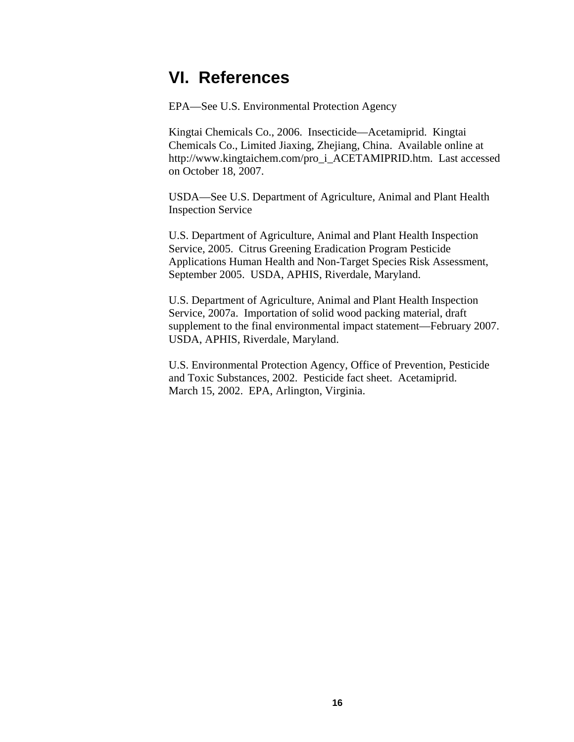## <span id="page-18-0"></span>**VI. References**

EPA—See U.S. Environmental Protection Agency

Kingtai Chemicals Co., 2006. Insecticide—Acetamiprid. Kingtai Chemicals Co., Limited Jiaxing, Zhejiang, China. Available online at [http://www.kingtaichem.com/pro\\_i\\_ACETAMIPRID.htm.](http://www.kingtaichem.com/pro_i_ACETAMIPRID.htm) Last accessed on October 18, 2007.

USDA—See U.S. Department of Agriculture, Animal and Plant Health Inspection Service

U.S. Department of Agriculture, Animal and Plant Health Inspection Service, 2005. Citrus Greening Eradication Program Pesticide Applications Human Health and Non-Target Species Risk Assessment, September 2005. USDA, APHIS, Riverdale, Maryland.

U.S. Department of Agriculture, Animal and Plant Health Inspection Service, 2007a. Importation of solid wood packing material, draft supplement to the final environmental impact statement—February 2007. USDA, APHIS, Riverdale, Maryland.

U.S. Environmental Protection Agency, Office of Prevention, Pesticide and Toxic Substances, 2002. Pesticide fact sheet. Acetamiprid. March 15, 2002. EPA, Arlington, Virginia.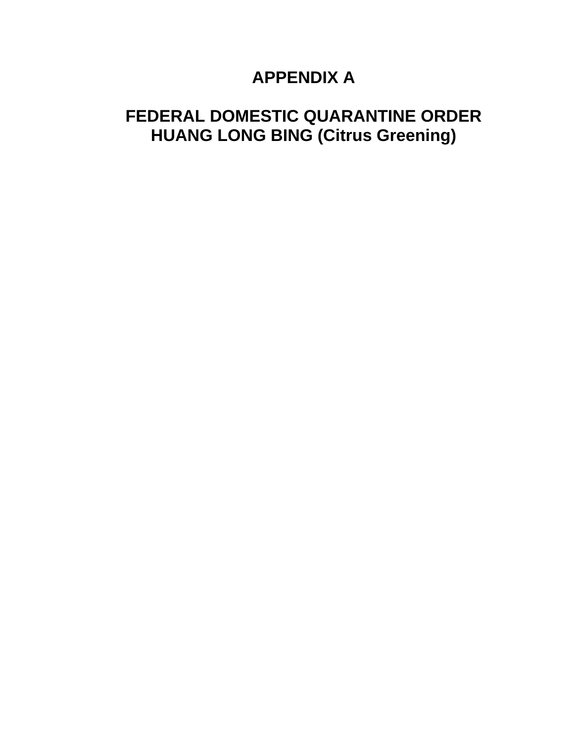# **APPENDIX A**

# **FEDERAL DOMESTIC QUARANTINE ORDER HUANG LONG BING (Citrus Greening)**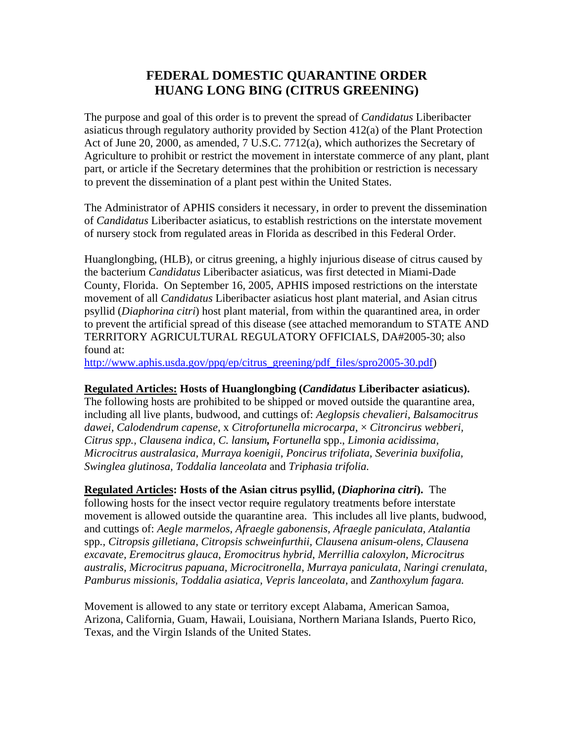#### **FEDERAL DOMESTIC QUARANTINE ORDER HUANG LONG BING (CITRUS GREENING)**

The purpose and goal of this order is to prevent the spread of *Candidatus* Liberibacter asiaticus through regulatory authority provided by Section 412(a) of the Plant Protection Act of June 20, 2000, as amended, 7 U.S.C. 7712(a), which authorizes the Secretary of Agriculture to prohibit or restrict the movement in interstate commerce of any plant, plant part, or article if the Secretary determines that the prohibition or restriction is necessary to prevent the dissemination of a plant pest within the United States.

The Administrator of APHIS considers it necessary, in order to prevent the dissemination of *Candidatus* Liberibacter asiaticus, to establish restrictions on the interstate movement of nursery stock from regulated areas in Florida as described in this Federal Order.

Huanglongbing, (HLB), or citrus greening, a highly injurious disease of citrus caused by the bacterium *Candidatus* Liberibacter asiaticus*,* was first detected in Miami-Dade County, Florida. On September 16, 2005, APHIS imposed restrictions on the interstate movement of all *Candidatus* Liberibacter asiaticus host plant material, and Asian citrus psyllid (*Diaphorina citri*) host plant material, from within the quarantined area, in order to prevent the artificial spread of this disease (see attached memorandum to STATE AND TERRITORY AGRICULTURAL REGULATORY OFFICIALS, DA#2005-30; also found at:

[http://www.aphis.usda.gov/ppq/ep/citrus\\_greening/pdf\\_files/spro2005-30.pdf\)](http://www.aphis.usda.gov/ppq/ep/citrus_greening/pdf_files/spro2005-30.pdf)

#### **Regulated Articles: Hosts of Huanglongbing (***Candidatus* **Liberibacter asiaticus).**

The following hosts are prohibited to be shipped or moved outside the quarantine area, including all live plants, budwood, and cuttings of: *Aeglopsis chevalieri, Balsamocitrus dawei, Calodendrum capense,* x *Citrofortunella microcarpa*, × *Citroncirus webberi, Citrus spp., Clausena indica, C. lansium, Fortunella* spp., *Limonia acidissima, Microcitrus australasica, Murraya koenigii, Poncirus trifoliata, Severinia buxifolia, Swinglea glutinosa, Toddalia lanceolata* and *Triphasia trifolia.*

**Regulated Articles: Hosts of the Asian citrus psyllid, (***Diaphorina citri***).** The following hosts for the insect vector require regulatory treatments before interstate movement is allowed outside the quarantine area. This includes all live plants, budwood, and cuttings of: *Aegle marmelos, Afraegle gabonensis, Afraegle paniculata, Atalantia*  spp*., Citropsis gilletiana, Citropsis schweinfurthii, Clausena anisum-olens, Clausena excavate, Eremocitrus glauca*, *Eromocitrus hybrid*, *Merrillia caloxylon, Microcitrus australis, Microcitrus papuana, Microcitronella, Murraya paniculata, Naringi crenulata, Pamburus missionis, Toddalia asiatica, Vepris lanceolata,* and *Zanthoxylum fagara.*

Movement is allowed to any state or territory except Alabama, American Samoa, Arizona, California, Guam, Hawaii, Louisiana, Northern Mariana Islands, Puerto Rico, Texas, and the Virgin Islands of the United States.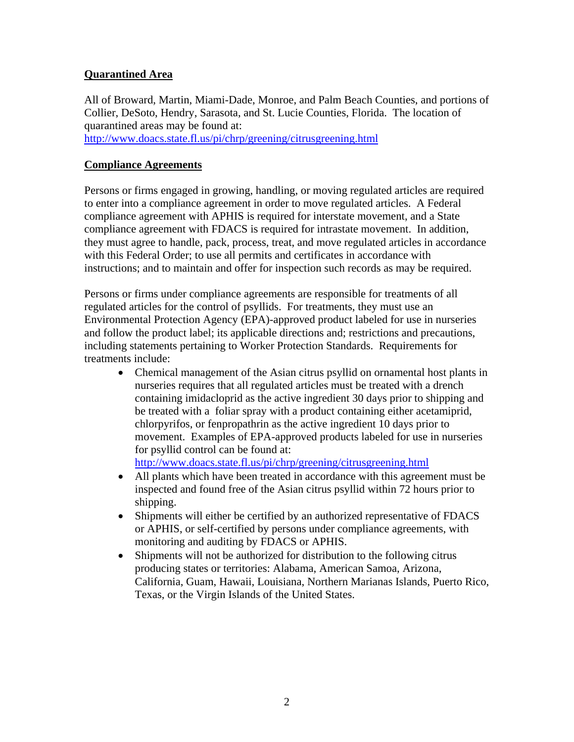#### **Quarantined Area**

All of Broward, Martin, Miami-Dade, Monroe, and Palm Beach Counties, and portions of Collier, DeSoto, Hendry, Sarasota, and St. Lucie Counties, Florida. The location of quarantined areas may be found at:

<http://www.doacs.state.fl.us/pi/chrp/greening/citrusgreening.html>

#### **Compliance Agreements**

Persons or firms engaged in growing, handling, or moving regulated articles are required to enter into a compliance agreement in order to move regulated articles. A Federal compliance agreement with APHIS is required for interstate movement, and a State compliance agreement with FDACS is required for intrastate movement. In addition, they must agree to handle, pack, process, treat, and move regulated articles in accordance with this Federal Order; to use all permits and certificates in accordance with instructions; and to maintain and offer for inspection such records as may be required.

Persons or firms under compliance agreements are responsible for treatments of all regulated articles for the control of psyllids. For treatments, they must use an Environmental Protection Agency (EPA)-approved product labeled for use in nurseries and follow the product label; its applicable directions and; restrictions and precautions, including statements pertaining to Worker Protection Standards. Requirements for treatments include:

• Chemical management of the Asian citrus psyllid on ornamental host plants in nurseries requires that all regulated articles must be treated with a drench containing imidacloprid as the active ingredient 30 days prior to shipping and be treated with a foliar spray with a product containing either acetamiprid, chlorpyrifos, or fenpropathrin as the active ingredient 10 days prior to movement. Examples of EPA-approved products labeled for use in nurseries for psyllid control can be found at:

<http://www.doacs.state.fl.us/pi/chrp/greening/citrusgreening.html>

- All plants which have been treated in accordance with this agreement must be inspected and found free of the Asian citrus psyllid within 72 hours prior to shipping.
- Shipments will either be certified by an authorized representative of FDACS or APHIS, or self-certified by persons under compliance agreements, with monitoring and auditing by FDACS or APHIS.
- Shipments will not be authorized for distribution to the following citrus producing states or territories: Alabama, American Samoa, Arizona, California, Guam, Hawaii, Louisiana, Northern Marianas Islands, Puerto Rico, Texas, or the Virgin Islands of the United States.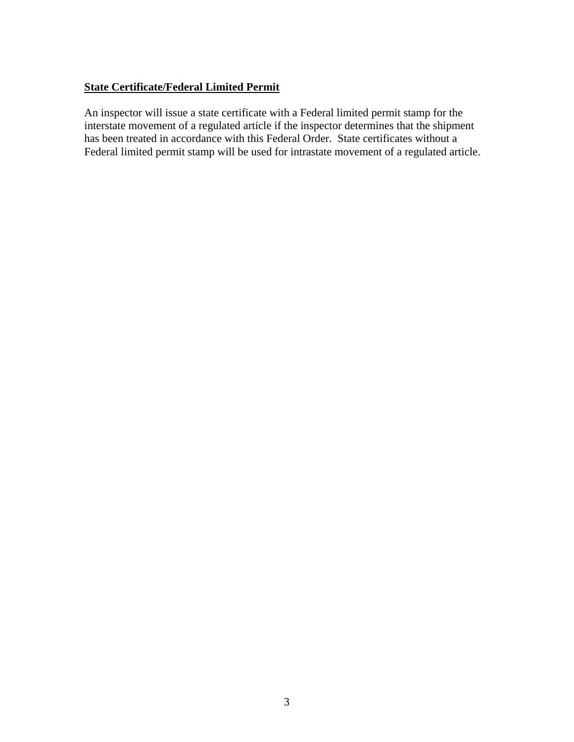#### **State Certificate/Federal Limited Permit**

An inspector will issue a state certificate with a Federal limited permit stamp for the interstate movement of a regulated article if the inspector determines that the shipment has been treated in accordance with this Federal Order. State certificates without a Federal limited permit stamp will be used for intrastate movement of a regulated article.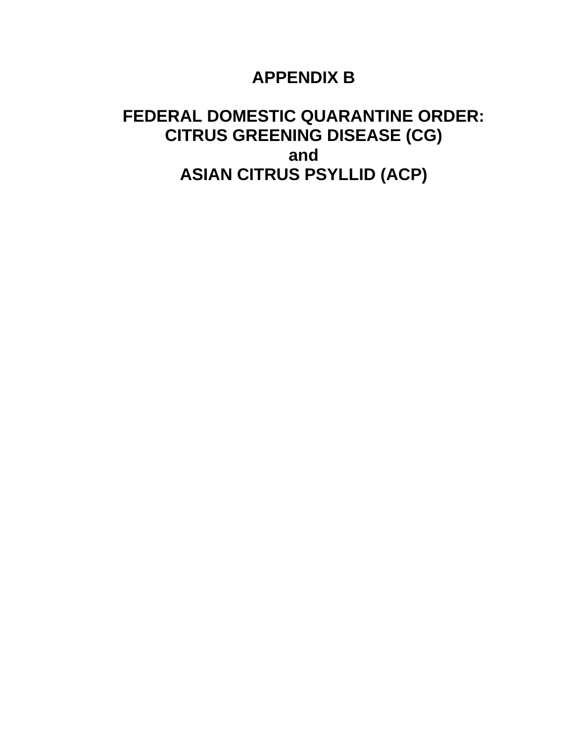# **APPENDIX B**

# **FEDERAL DOMESTIC QUARANTINE ORDER: CITRUS GREENING DISEASE (CG) and ASIAN CITRUS PSYLLID (ACP)**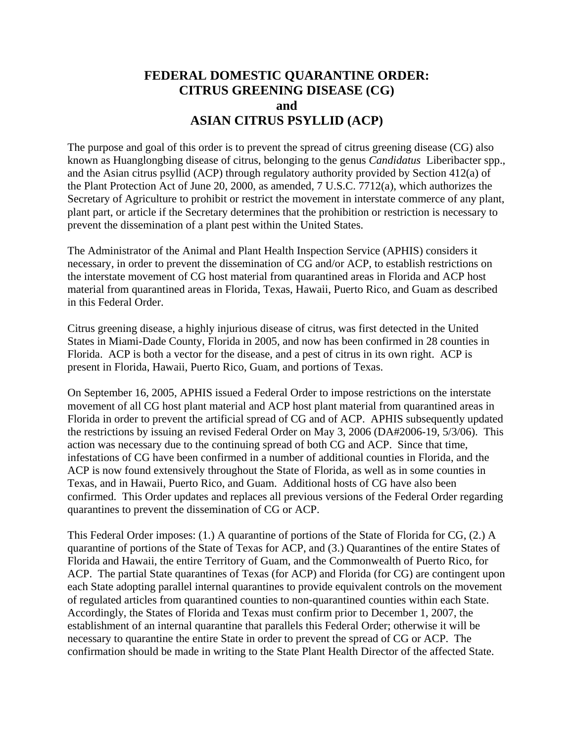#### **FEDERAL DOMESTIC QUARANTINE ORDER: CITRUS GREENING DISEASE (CG) and ASIAN CITRUS PSYLLID (ACP)**

The purpose and goal of this order is to prevent the spread of citrus greening disease (CG) also known as Huanglongbing disease of citrus, belonging to the genus *Candidatus* Liberibacter spp., and the Asian citrus psyllid (ACP) through regulatory authority provided by Section 412(a) of the Plant Protection Act of June 20, 2000, as amended, 7 U.S.C. 7712(a), which authorizes the Secretary of Agriculture to prohibit or restrict the movement in interstate commerce of any plant, plant part, or article if the Secretary determines that the prohibition or restriction is necessary to prevent the dissemination of a plant pest within the United States.

The Administrator of the Animal and Plant Health Inspection Service (APHIS) considers it necessary, in order to prevent the dissemination of CG and/or ACP, to establish restrictions on the interstate movement of CG host material from quarantined areas in Florida and ACP host material from quarantined areas in Florida, Texas, Hawaii, Puerto Rico, and Guam as described in this Federal Order.

Citrus greening disease, a highly injurious disease of citrus*,* was first detected in the United States in Miami-Dade County, Florida in 2005, and now has been confirmed in 28 counties in Florida. ACP is both a vector for the disease, and a pest of citrus in its own right. ACP is present in Florida, Hawaii, Puerto Rico, Guam, and portions of Texas.

On September 16, 2005, APHIS issued a Federal Order to impose restrictions on the interstate movement of all CG host plant material and ACP host plant material from quarantined areas in Florida in order to prevent the artificial spread of CG and of ACP. APHIS subsequently updated the restrictions by issuing an revised Federal Order on May 3, 2006 (DA#2006-19, 5/3/06). This action was necessary due to the continuing spread of both CG and ACP. Since that time, infestations of CG have been confirmed in a number of additional counties in Florida, and the ACP is now found extensively throughout the State of Florida, as well as in some counties in Texas, and in Hawaii, Puerto Rico, and Guam. Additional hosts of CG have also been confirmed. This Order updates and replaces all previous versions of the Federal Order regarding quarantines to prevent the dissemination of CG or ACP.

This Federal Order imposes: (1.) A quarantine of portions of the State of Florida for CG, (2.) A quarantine of portions of the State of Texas for ACP, and (3.) Quarantines of the entire States of Florida and Hawaii, the entire Territory of Guam, and the Commonwealth of Puerto Rico, for ACP. The partial State quarantines of Texas (for ACP) and Florida (for CG) are contingent upon each State adopting parallel internal quarantines to provide equivalent controls on the movement of regulated articles from quarantined counties to non-quarantined counties within each State. Accordingly, the States of Florida and Texas must confirm prior to December 1, 2007, the establishment of an internal quarantine that parallels this Federal Order; otherwise it will be necessary to quarantine the entire State in order to prevent the spread of CG or ACP. The confirmation should be made in writing to the State Plant Health Director of the affected State.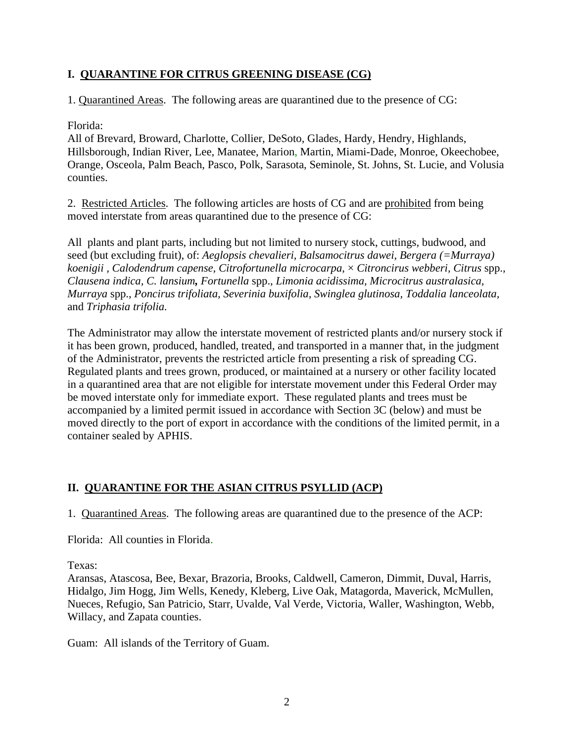#### **I. QUARANTINE FOR CITRUS GREENING DISEASE (CG)**

1. Quarantined Areas. The following areas are quarantined due to the presence of CG:

#### Florida:

All of Brevard, Broward, Charlotte, Collier, DeSoto, Glades, Hardy, Hendry, Highlands, Hillsborough, Indian River, Lee, Manatee, Marion, Martin, Miami-Dade, Monroe, Okeechobee, Orange, Osceola, Palm Beach, Pasco, Polk, Sarasota, Seminole, St. Johns, St. Lucie, and Volusia counties.

2. Restricted Articles. The following articles are hosts of CG and are prohibited from being moved interstate from areas quarantined due to the presence of CG:

All plants and plant parts, including but not limited to nursery stock, cuttings, budwood, and seed (but excluding fruit), of: *Aeglopsis chevalieri, Balsamocitrus dawei, Bergera (=Murraya) koenigii , Calodendrum capense, Citrofortunella microcarpa*, × *Citroncirus webberi, Citrus* spp.*, Clausena indica, C. lansium, Fortunella* spp., *Limonia acidissima, Microcitrus australasica, Murraya* spp., *Poncirus trifoliata, Severinia buxifolia, Swinglea glutinosa, Toddalia lanceolata,*  and *Triphasia trifolia.*

The Administrator may allow the interstate movement of restricted plants and/or nursery stock if it has been grown, produced, handled, treated, and transported in a manner that, in the judgment of the Administrator, prevents the restricted article from presenting a risk of spreading CG. Regulated plants and trees grown, produced, or maintained at a nursery or other facility located in a quarantined area that are not eligible for interstate movement under this Federal Order may be moved interstate only for immediate export. These regulated plants and trees must be accompanied by a limited permit issued in accordance with Section 3C (below) and must be moved directly to the port of export in accordance with the conditions of the limited permit, in a container sealed by APHIS.

#### **II. QUARANTINE FOR THE ASIAN CITRUS PSYLLID (ACP)**

1. Quarantined Areas. The following areas are quarantined due to the presence of the ACP:

Florida: All counties in Florida.

Texas:

Aransas, Atascosa, Bee, Bexar, Brazoria, Brooks, Caldwell, Cameron, Dimmit, Duval, Harris, Hidalgo, Jim Hogg, Jim Wells, Kenedy, Kleberg, Live Oak, Matagorda, Maverick, McMullen, Nueces, Refugio, San Patricio, Starr, Uvalde, Val Verde, Victoria, Waller, Washington, Webb, Willacy, and Zapata counties.

Guam: All islands of the Territory of Guam.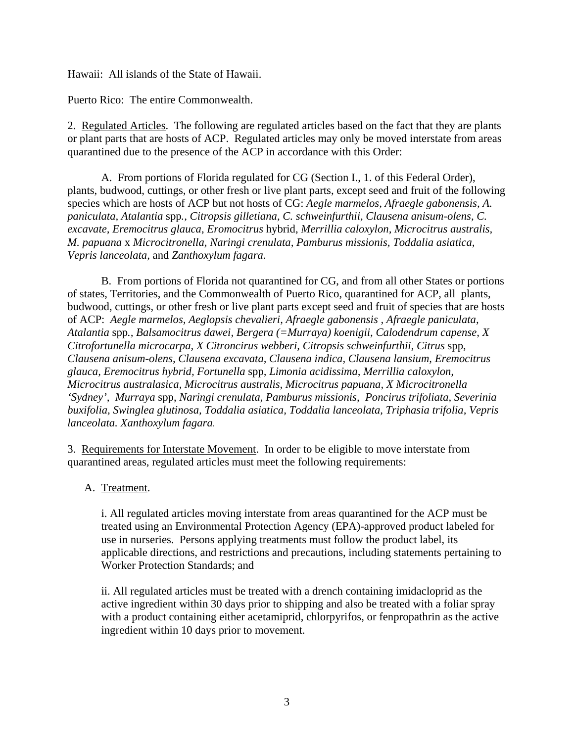Hawaii: All islands of the State of Hawaii.

Puerto Rico: The entire Commonwealth.

2. Regulated Articles. The following are regulated articles based on the fact that they are plants or plant parts that are hosts of ACP. Regulated articles may only be moved interstate from areas quarantined due to the presence of the ACP in accordance with this Order:

 A. From portions of Florida regulated for CG (Section I., 1. of this Federal Order), plants, budwood, cuttings, or other fresh or live plant parts, except seed and fruit of the following species which are hosts of ACP but not hosts of CG: *Aegle marmelos, Afraegle gabonensis, A. paniculata, Atalantia* spp*., Citropsis gilletiana, C. schweinfurthii, Clausena anisum-olens, C. excavate, Eremocitrus glauca*, *Eromocitrus* hybrid, *Merrillia caloxylon, Microcitrus australis, M. papuana* x *Microcitronella, Naringi crenulata, Pamburus missionis, Toddalia asiatica, Vepris lanceolata,* and *Zanthoxylum fagara.* 

 B. From portions of Florida not quarantined for CG, and from all other States or portions of states, Territories, and the Commonwealth of Puerto Rico, quarantined for ACP, all plants, budwood, cuttings, or other fresh or live plant parts except seed and fruit of species that are hosts of ACP: *Aegle marmelos, Aeglopsis chevalieri, Afraegle gabonensis , Afraegle paniculata, Atalantia* spp*., Balsamocitrus dawei, Bergera (=Murraya) koenigii, Calodendrum capense, X Citrofortunella microcarpa, X Citroncirus webberi, Citropsis schweinfurthii, Citrus* spp, *Clausena anisum-olens, Clausena excavata, Clausena indica, Clausena lansium, Eremocitrus glauca, Eremocitrus hybrid, Fortunella* spp*, Limonia acidissima, Merrillia caloxylon, Microcitrus australasica, Microcitrus australis, Microcitrus papuana, X Microcitronella 'Sydney', Murraya* spp, *Naringi crenulata, Pamburus missionis, Poncirus trifoliata, Severinia buxifolia, Swinglea glutinosa, Toddalia asiatica, Toddalia lanceolata, Triphasia trifolia, Vepris lanceolata. Xanthoxylum fagara.*

3. Requirements for Interstate Movement. In order to be eligible to move interstate from quarantined areas, regulated articles must meet the following requirements:

#### A. Treatment.

i. All regulated articles moving interstate from areas quarantined for the ACP must be treated using an Environmental Protection Agency (EPA)-approved product labeled for use in nurseries. Persons applying treatments must follow the product label, its applicable directions, and restrictions and precautions, including statements pertaining to Worker Protection Standards; and

ii. All regulated articles must be treated with a drench containing imidacloprid as the active ingredient within 30 days prior to shipping and also be treated with a foliar spray with a product containing either acetamiprid, chlorpyrifos, or fenpropathrin as the active ingredient within 10 days prior to movement.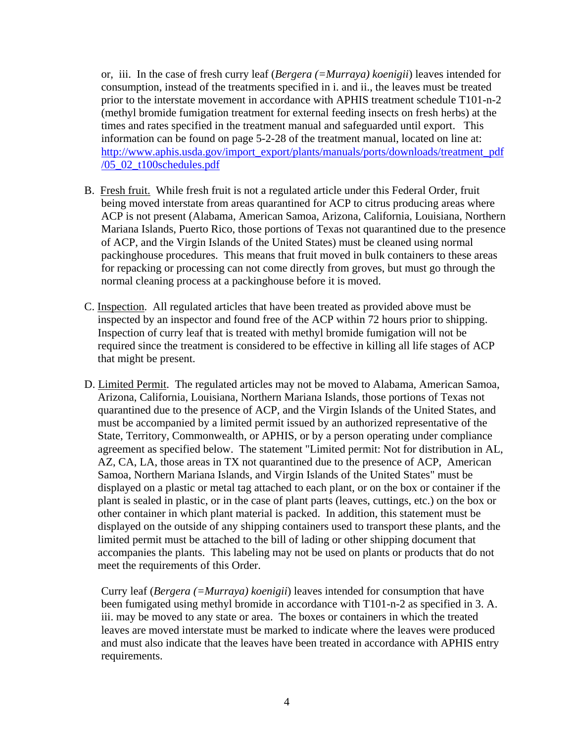or, iii. In the case of fresh curry leaf (*Bergera (=Murraya) koenigii*) leaves intended for consumption, instead of the treatments specified in i. and ii., the leaves must be treated prior to the interstate movement in accordance with APHIS treatment schedule T101-n-2 (methyl bromide fumigation treatment for external feeding insects on fresh herbs) at the times and rates specified in the treatment manual and safeguarded until export. This information can be found on page 5-2-28 of the treatment manual, located on line at: [http://www.aphis.usda.gov/import\\_export/plants/manuals/ports/downloads/treatment\\_pdf](http://www.aphis.usda.gov/import_export/plants/manuals/ports/downloads/treatment_pdf/05_02_t100schedules.pdf) [/05\\_02\\_t100schedules.pdf](http://www.aphis.usda.gov/import_export/plants/manuals/ports/downloads/treatment_pdf/05_02_t100schedules.pdf)

- B. Fresh fruit. While fresh fruit is not a regulated article under this Federal Order, fruit being moved interstate from areas quarantined for ACP to citrus producing areas where ACP is not present (Alabama, American Samoa, Arizona, California, Louisiana, Northern Mariana Islands, Puerto Rico, those portions of Texas not quarantined due to the presence of ACP, and the Virgin Islands of the United States) must be cleaned using normal packinghouse procedures. This means that fruit moved in bulk containers to these areas for repacking or processing can not come directly from groves, but must go through the normal cleaning process at a packinghouse before it is moved.
- C. Inspection. All regulated articles that have been treated as provided above must be inspected by an inspector and found free of the ACP within 72 hours prior to shipping. Inspection of curry leaf that is treated with methyl bromide fumigation will not be required since the treatment is considered to be effective in killing all life stages of ACP that might be present.
- D. Limited Permit. The regulated articles may not be moved to Alabama, American Samoa, Arizona, California, Louisiana, Northern Mariana Islands, those portions of Texas not quarantined due to the presence of ACP, and the Virgin Islands of the United States, and must be accompanied by a limited permit issued by an authorized representative of the State, Territory, Commonwealth, or APHIS, or by a person operating under compliance agreement as specified below. The statement "Limited permit: Not for distribution in AL, AZ, CA, LA, those areas in TX not quarantined due to the presence of ACP, American Samoa, Northern Mariana Islands, and Virgin Islands of the United States" must be displayed on a plastic or metal tag attached to each plant, or on the box or container if the plant is sealed in plastic, or in the case of plant parts (leaves, cuttings, etc.) on the box or other container in which plant material is packed. In addition, this statement must be displayed on the outside of any shipping containers used to transport these plants, and the limited permit must be attached to the bill of lading or other shipping document that accompanies the plants. This labeling may not be used on plants or products that do not meet the requirements of this Order.

Curry leaf (*Bergera (=Murraya) koenigii*) leaves intended for consumption that have been fumigated using methyl bromide in accordance with T101-n-2 as specified in 3. A. iii. may be moved to any state or area. The boxes or containers in which the treated leaves are moved interstate must be marked to indicate where the leaves were produced and must also indicate that the leaves have been treated in accordance with APHIS entry requirements.